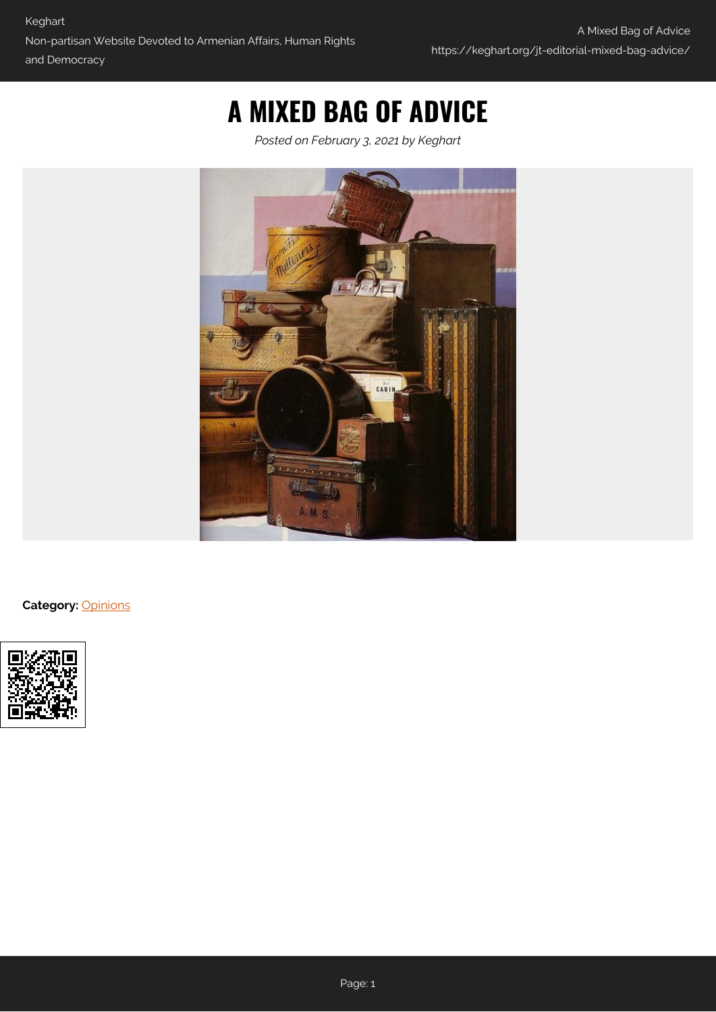## **A MIXED BAG OF ADVICE**

*Posted on February 3, 2021 by Keghart*



**Category:** [Opinions](https://keghart.org/category/opinions/)

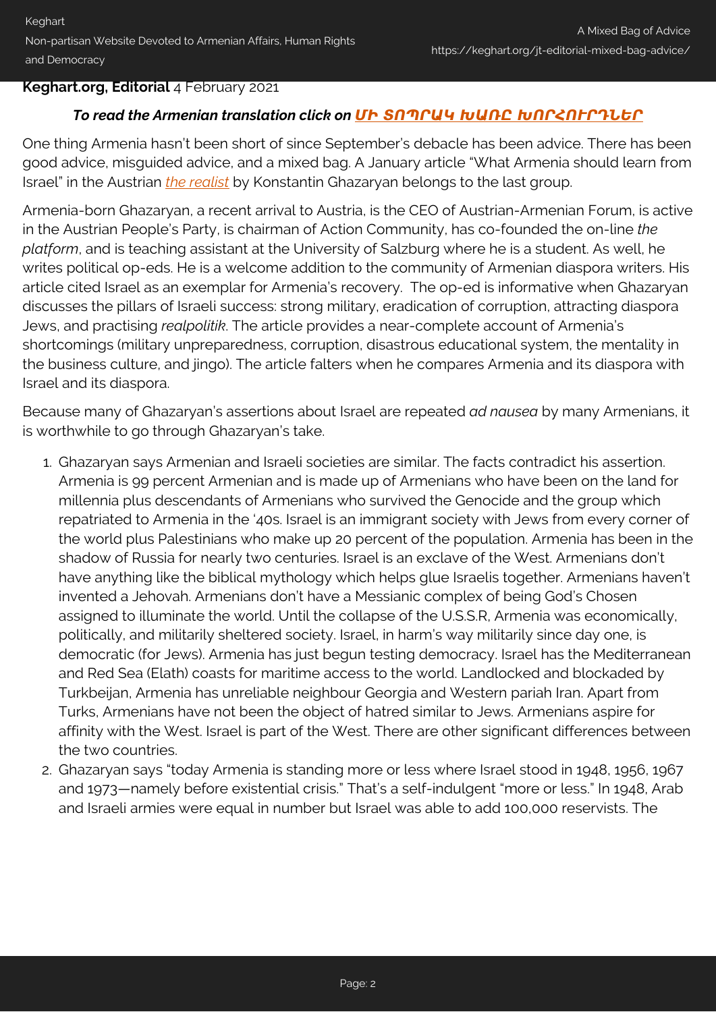## **Keghart.org, Editorial** 4 February 2021

## *To read the Armenian translation click on [ՄԻ ՏՈՊՐԱԿ ԽԱՌԸ ԽՈՐՀՈՒՐԴՆԵՐ](https://keghart.org/jt-mk-editorial-bag-advice/)*

One thing Armenia hasn't been short of since September's debacle has been advice. There has been good advice, misguided advice, and a mixed bag. A January article "What Armenia should learn from Israel" in the Austrian *[the realist](http://the-realist.eu/?p=355)* by Konstantin Ghazaryan belongs to the last group.

Armenia-born Ghazaryan, a recent arrival to Austria, is the CEO of Austrian-Armenian Forum, is active in the Austrian People's Party, is chairman of Action Community, has co-founded the on-line *the platform*, and is teaching assistant at the University of Salzburg where he is a student. As well, he writes political op-eds. He is a welcome addition to the community of Armenian diaspora writers. His article cited Israel as an exemplar for Armenia's recovery. The op-ed is informative when Ghazaryan discusses the pillars of Israeli success: strong military, eradication of corruption, attracting diaspora Jews, and practising *realpolitik*. The article provides a near-complete account of Armenia's shortcomings (military unpreparedness, corruption, disastrous educational system, the mentality in the business culture, and jingo). The article falters when he compares Armenia and its diaspora with Israel and its diaspora.

Because many of Ghazaryan's assertions about Israel are repeated *ad nausea* by many Armenians, it is worthwhile to go through Ghazaryan's take.

- 1. Ghazaryan says Armenian and Israeli societies are similar. The facts contradict his assertion. Armenia is 99 percent Armenian and is made up of Armenians who have been on the land for millennia plus descendants of Armenians who survived the Genocide and the group which repatriated to Armenia in the '40s. Israel is an immigrant society with Jews from every corner of the world plus Palestinians who make up 20 percent of the population. Armenia has been in the shadow of Russia for nearly two centuries. Israel is an exclave of the West. Armenians don't have anything like the biblical mythology which helps glue Israelis together. Armenians haven't invented a Jehovah. Armenians don't have a Messianic complex of being God's Chosen assigned to illuminate the world. Until the collapse of the U.S.S.R, Armenia was economically, politically, and militarily sheltered society. Israel, in harm's way militarily since day one, is democratic (for Jews). Armenia has just begun testing democracy. Israel has the Mediterranean and Red Sea (Elath) coasts for maritime access to the world. Landlocked and blockaded by Turkbeijan, Armenia has unreliable neighbour Georgia and Western pariah Iran. Apart from Turks, Armenians have not been the object of hatred similar to Jews. Armenians aspire for affinity with the West. Israel is part of the West. There are other significant differences between the two countries.
- 2. Ghazaryan says "today Armenia is standing more or less where Israel stood in 1948, 1956, 1967 and 1973—namely before existential crisis." That's a self-indulgent "more or less." In 1948, Arab and Israeli armies were equal in number but Israel was able to add 100,000 reservists. The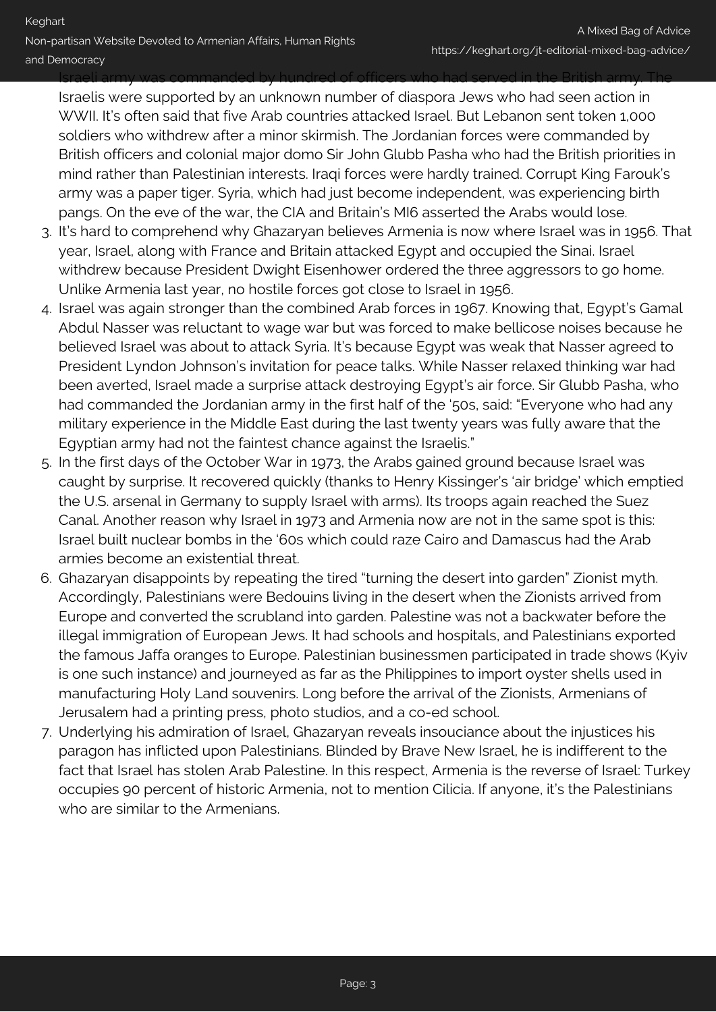Israeli army was commanded by hundred of officers who had served in the British army. The

Israelis were supported by an unknown number of diaspora Jews who had seen action in WWII. It's often said that five Arab countries attacked Israel. But Lebanon sent token 1,000 soldiers who withdrew after a minor skirmish. The Jordanian forces were commanded by British officers and colonial major domo Sir John Glubb Pasha who had the British priorities in mind rather than Palestinian interests. Iraqi forces were hardly trained. Corrupt King Farouk's army was a paper tiger. Syria, which had just become independent, was experiencing birth pangs. On the eve of the war, the CIA and Britain's MI6 asserted the Arabs would lose.

- 3. It's hard to comprehend why Ghazaryan believes Armenia is now where Israel was in 1956. That year, Israel, along with France and Britain attacked Egypt and occupied the Sinai. Israel withdrew because President Dwight Eisenhower ordered the three aggressors to go home. Unlike Armenia last year, no hostile forces got close to Israel in 1956.
- 4. Israel was again stronger than the combined Arab forces in 1967. Knowing that, Egypt's Gamal Abdul Nasser was reluctant to wage war but was forced to make bellicose noises because he believed Israel was about to attack Syria. It's because Egypt was weak that Nasser agreed to President Lyndon Johnson's invitation for peace talks. While Nasser relaxed thinking war had been averted, Israel made a surprise attack destroying Egypt's air force. Sir Glubb Pasha, who had commanded the Jordanian army in the first half of the '50s, said: "Everyone who had any military experience in the Middle East during the last twenty years was fully aware that the Egyptian army had not the faintest chance against the Israelis."
- 5. In the first days of the October War in 1973, the Arabs gained ground because Israel was caught by surprise. It recovered quickly (thanks to Henry Kissinger's 'air bridge' which emptied the U.S. arsenal in Germany to supply Israel with arms). Its troops again reached the Suez Canal. Another reason why Israel in 1973 and Armenia now are not in the same spot is this: Israel built nuclear bombs in the '60s which could raze Cairo and Damascus had the Arab armies become an existential threat.
- 6. Ghazaryan disappoints by repeating the tired "turning the desert into garden" Zionist myth. Accordingly, Palestinians were Bedouins living in the desert when the Zionists arrived from Europe and converted the scrubland into garden. Palestine was not a backwater before the illegal immigration of European Jews. It had schools and hospitals, and Palestinians exported the famous Jaffa oranges to Europe. Palestinian businessmen participated in trade shows (Kyiv is one such instance) and journeyed as far as the Philippines to import oyster shells used in manufacturing Holy Land souvenirs. Long before the arrival of the Zionists, Armenians of Jerusalem had a printing press, photo studios, and a co-ed school.
- 7. Underlying his admiration of Israel, Ghazaryan reveals insouciance about the injustices his paragon has inflicted upon Palestinians. Blinded by Brave New Israel, he is indifferent to the fact that Israel has stolen Arab Palestine. In this respect, Armenia is the reverse of Israel: Turkey occupies 90 percent of historic Armenia, not to mention Cilicia. If anyone, it's the Palestinians who are similar to the Armenians.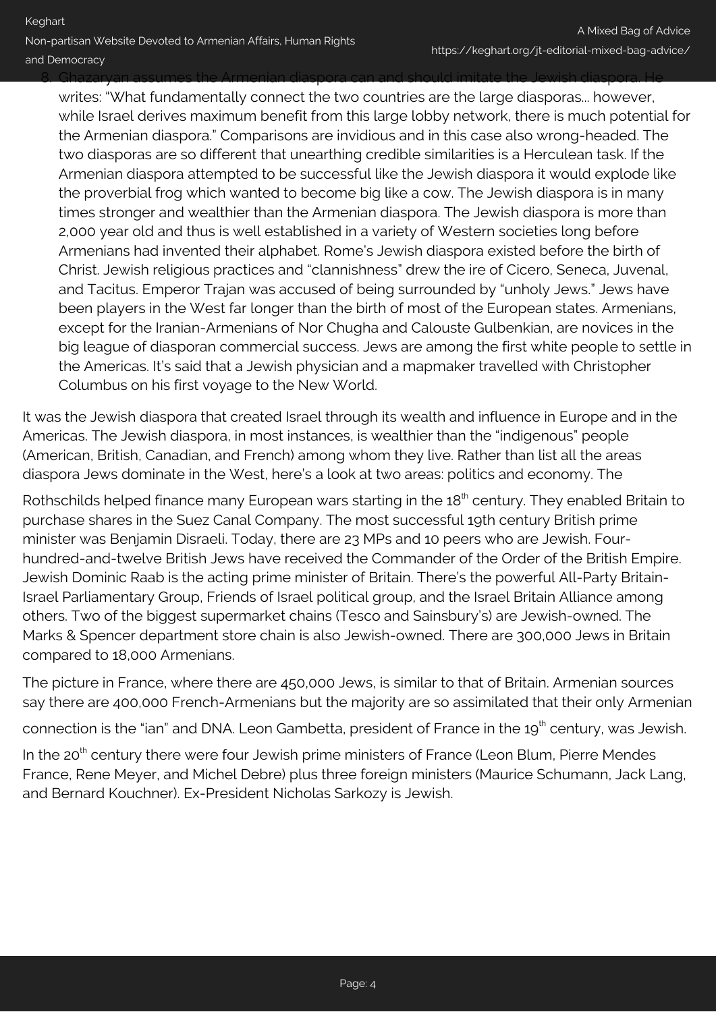8. Ghazaryan assumes the Armenian diaspora can and should imitate the Jewish diaspora. He

writes: "What fundamentally connect the two countries are the large diasporas... however, while Israel derives maximum benefit from this large lobby network, there is much potential for the Armenian diaspora." Comparisons are invidious and in this case also wrong-headed. The two diasporas are so different that unearthing credible similarities is a Herculean task. If the Armenian diaspora attempted to be successful like the Jewish diaspora it would explode like the proverbial frog which wanted to become big like a cow. The Jewish diaspora is in many times stronger and wealthier than the Armenian diaspora. The Jewish diaspora is more than 2,000 year old and thus is well established in a variety of Western societies long before Armenians had invented their alphabet. Rome's Jewish diaspora existed before the birth of Christ. Jewish religious practices and "clannishness" drew the ire of Cicero, Seneca, Juvenal, and Tacitus. Emperor Trajan was accused of being surrounded by "unholy Jews." Jews have been players in the West far longer than the birth of most of the European states. Armenians, except for the Iranian-Armenians of Nor Chugha and Calouste Gulbenkian, are novices in the big league of diasporan commercial success. Jews are among the first white people to settle in the Americas. It's said that a Jewish physician and a mapmaker travelled with Christopher Columbus on his first voyage to the New World.

It was the Jewish diaspora that created Israel through its wealth and influence in Europe and in the Americas. The Jewish diaspora, in most instances, is wealthier than the "indigenous" people (American, British, Canadian, and French) among whom they live. Rather than list all the areas diaspora Jews dominate in the West, here's a look at two areas: politics and economy. The

Rothschilds helped finance many European wars starting in the 18<sup>th</sup> century. They enabled Britain to purchase shares in the Suez Canal Company. The most successful 19th century British prime minister was Benjamin Disraeli. Today, there are 23 MPs and 10 peers who are Jewish. Fourhundred-and-twelve British Jews have received the Commander of the Order of the British Empire. Jewish Dominic Raab is the acting prime minister of Britain. There's the powerful All-Party Britain-Israel Parliamentary Group, Friends of Israel political group, and the Israel Britain Alliance among others. Two of the biggest supermarket chains (Tesco and Sainsbury's) are Jewish-owned. The Marks & Spencer department store chain is also Jewish-owned. There are 300,000 Jews in Britain compared to 18,000 Armenians.

The picture in France, where there are 450,000 Jews, is similar to that of Britain. Armenian sources say there are 400,000 French-Armenians but the majority are so assimilated that their only Armenian

connection is the "ian" and DNA. Leon Gambetta, president of France in the 19<sup>th</sup> century, was Jewish.

In the  $20<sup>th</sup>$  century there were four Jewish prime ministers of France (Leon Blum, Pierre Mendes France, Rene Meyer, and Michel Debre) plus three foreign ministers (Maurice Schumann, Jack Lang, and Bernard Kouchner). Ex-President Nicholas Sarkozy is Jewish.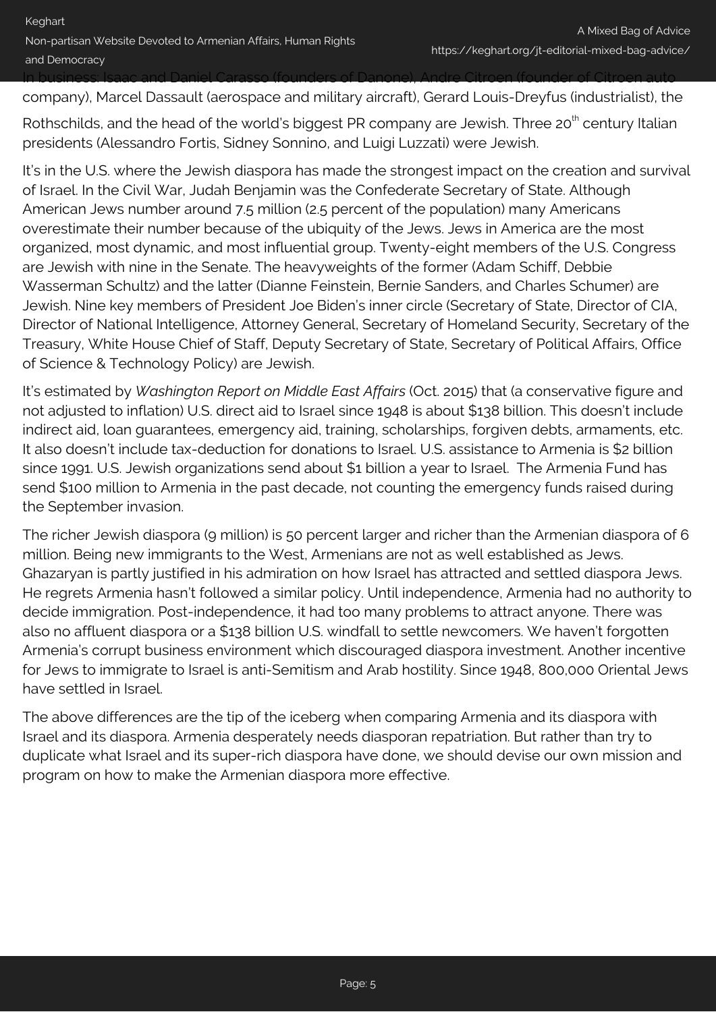In business: Isaac and Daniel Carasso (founders of Danone), Andre Citroen (founder of Citroen auto

company), Marcel Dassault (aerospace and military aircraft), Gerard Louis-Dreyfus (industrialist), the

Rothschilds, and the head of the world's biggest PR company are Jewish. Three 20<sup>th</sup> century Italian presidents (Alessandro Fortis, Sidney Sonnino, and Luigi Luzzati) were Jewish.

It's in the U.S. where the Jewish diaspora has made the strongest impact on the creation and survival of Israel. In the Civil War, Judah Benjamin was the Confederate Secretary of State. Although American Jews number around 7.5 million (2.5 percent of the population) many Americans overestimate their number because of the ubiquity of the Jews. Jews in America are the most organized, most dynamic, and most influential group. Twenty-eight members of the U.S. Congress are Jewish with nine in the Senate. The heavyweights of the former (Adam Schiff, Debbie Wasserman Schultz) and the latter (Dianne Feinstein, Bernie Sanders, and Charles Schumer) are Jewish. Nine key members of President Joe Biden's inner circle (Secretary of State, Director of CIA, Director of National Intelligence, Attorney General, Secretary of Homeland Security, Secretary of the Treasury, White House Chief of Staff, Deputy Secretary of State, Secretary of Political Affairs, Office of Science & Technology Policy) are Jewish.

It's estimated by *Washington Report on Middle East Affairs* (Oct. 2015) that (a conservative figure and not adjusted to inflation) U.S. direct aid to Israel since 1948 is about \$138 billion. This doesn't include indirect aid, loan guarantees, emergency aid, training, scholarships, forgiven debts, armaments, etc. It also doesn't include tax-deduction for donations to Israel. U.S. assistance to Armenia is \$2 billion since 1991. U.S. Jewish organizations send about \$1 billion a year to Israel. The Armenia Fund has send \$100 million to Armenia in the past decade, not counting the emergency funds raised during the September invasion.

The richer Jewish diaspora (9 million) is 50 percent larger and richer than the Armenian diaspora of 6 million. Being new immigrants to the West, Armenians are not as well established as Jews. Ghazaryan is partly justified in his admiration on how Israel has attracted and settled diaspora Jews. He regrets Armenia hasn't followed a similar policy. Until independence, Armenia had no authority to decide immigration. Post-independence, it had too many problems to attract anyone. There was also no affluent diaspora or a \$138 billion U.S. windfall to settle newcomers. We haven't forgotten Armenia's corrupt business environment which discouraged diaspora investment. Another incentive for Jews to immigrate to Israel is anti-Semitism and Arab hostility. Since 1948, 800,000 Oriental Jews have settled in Israel.

The above differences are the tip of the iceberg when comparing Armenia and its diaspora with Israel and its diaspora. Armenia desperately needs diasporan repatriation. But rather than try to duplicate what Israel and its super-rich diaspora have done, we should devise our own mission and program on how to make the Armenian diaspora more effective.